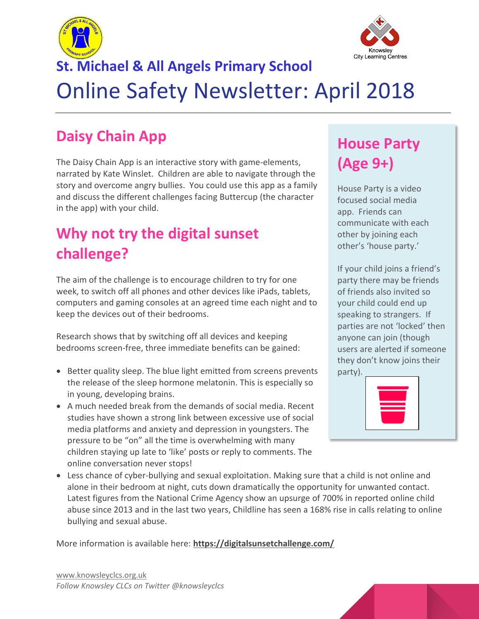



# **St. Michael & All Angels Primary School** Online Safety Newsletter: April 2018

# **Daisy Chain App**

The Daisy Chain App is an interactive story with game-elements, narrated by Kate Winslet. Children are able to navigate through the story and overcome angry bullies. You could use this app as a family and discuss the different challenges facing Buttercup (the character in the app) with your child.

# **Why not try the digital sunset challenge?**

The aim of the challenge is to encourage children to try for one week, to switch off all phones and other devices like iPads, tablets, computers and gaming consoles at an agreed time each night and to keep the devices out of their bedrooms.

Research shows that by switching off all devices and keeping bedrooms screen-free, three immediate benefits can be gained:

- Better quality sleep. The blue light emitted from screens prevents the release of the sleep hormone melatonin. This is especially so in young, developing brains.
- A much needed break from the demands of social media. Recent studies have shown a strong link between excessive use of social media platforms and anxiety and depression in youngsters. The pressure to be "on" all the time is overwhelming with many children staying up late to 'like' posts or reply to comments. The online conversation never stops!
- Less chance of cyber-bullying and sexual exploitation. Making sure that a child is not online and alone in their bedroom at night, cuts down dramatically the opportunity for unwanted contact. Latest figures from the National Crime Agency show an upsurge of 700% in reported online child abuse since 2013 and in the last two years, Childline has seen a 168% rise in calls relating to online bullying and sexual abuse.

More information is available here: **<https://digitalsunsetchallenge.com/>**

# **House Party (Age 9+)**

House Party is a video focused social media app. Friends can communicate with each other by joining each other's 'house party.'

If your child joins a friend's party there may be friends of friends also invited so your child could end up speaking to strangers. If parties are not 'locked' then anyone can join (though users are alerted if someone they don't know joins their party).